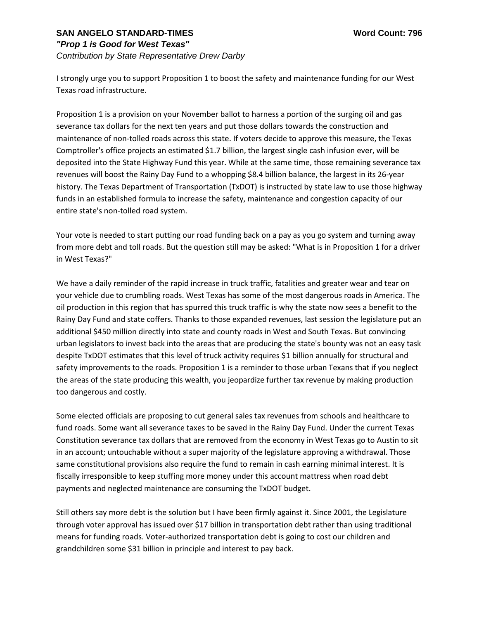## **SAN ANGELO STANDARD-TIMES Word Count: 796**

## *"Prop 1 is Good for West Texas"*

*Contribution by State Representative Drew Darby*

I strongly urge you to support Proposition 1 to boost the safety and maintenance funding for our West Texas road infrastructure.

Proposition 1 is a provision on your November ballot to harness a portion of the surging oil and gas severance tax dollars for the next ten years and put those dollars towards the construction and maintenance of non-tolled roads across this state. If voters decide to approve this measure, the Texas Comptroller's office projects an estimated \$1.7 billion, the largest single cash infusion ever, will be deposited into the State Highway Fund this year. While at the same time, those remaining severance tax revenues will boost the Rainy Day Fund to a whopping \$8.4 billion balance, the largest in its 26-year history. The Texas Department of Transportation (TxDOT) is instructed by state law to use those highway funds in an established formula to increase the safety, maintenance and congestion capacity of our entire state's non-tolled road system.

Your vote is needed to start putting our road funding back on a pay as you go system and turning away from more debt and toll roads. But the question still may be asked: "What is in Proposition 1 for a driver in West Texas?"

We have a daily reminder of the rapid increase in truck traffic, fatalities and greater wear and tear on your vehicle due to crumbling roads. West Texas has some of the most dangerous roads in America. The oil production in this region that has spurred this truck traffic is why the state now sees a benefit to the Rainy Day Fund and state coffers. Thanks to those expanded revenues, last session the legislature put an additional \$450 million directly into state and county roads in West and South Texas. But convincing urban legislators to invest back into the areas that are producing the state's bounty was not an easy task despite TxDOT estimates that this level of truck activity requires \$1 billion annually for structural and safety improvements to the roads. Proposition 1 is a reminder to those urban Texans that if you neglect the areas of the state producing this wealth, you jeopardize further tax revenue by making production too dangerous and costly.

Some elected officials are proposing to cut general sales tax revenues from schools and healthcare to fund roads. Some want all severance taxes to be saved in the Rainy Day Fund. Under the current Texas Constitution severance tax dollars that are removed from the economy in West Texas go to Austin to sit in an account; untouchable without a super majority of the legislature approving a withdrawal. Those same constitutional provisions also require the fund to remain in cash earning minimal interest. It is fiscally irresponsible to keep stuffing more money under this account mattress when road debt payments and neglected maintenance are consuming the TxDOT budget.

Still others say more debt is the solution but I have been firmly against it. Since 2001, the Legislature through voter approval has issued over \$17 billion in transportation debt rather than using traditional means for funding roads. Voter-authorized transportation debt is going to cost our children and grandchildren some \$31 billion in principle and interest to pay back.